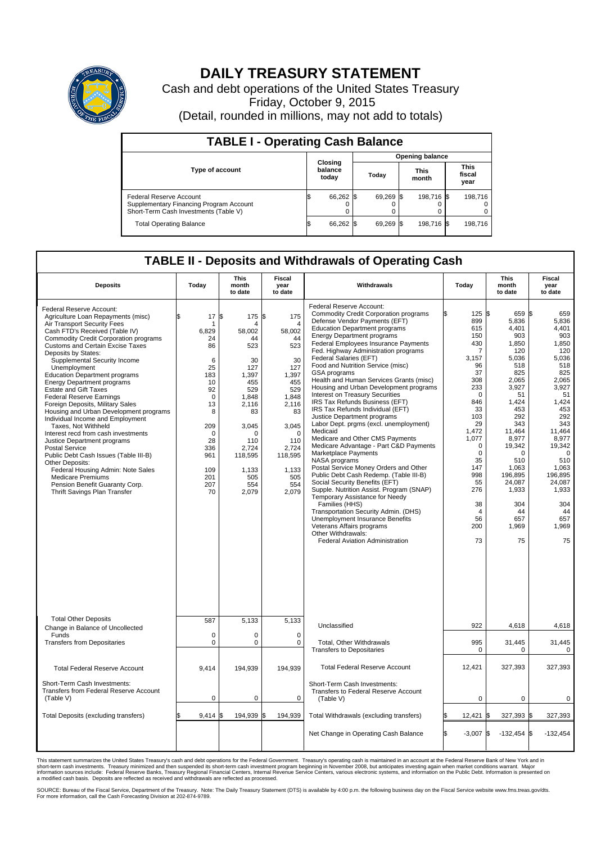

## **DAILY TREASURY STATEMENT**

Cash and debt operations of the United States Treasury Friday, October 9, 2015 (Detail, rounded in millions, may not add to totals)

| <b>TABLE I - Operating Cash Balance</b>                                                                     |  |                             |  |                        |  |                      |  |                               |  |  |  |
|-------------------------------------------------------------------------------------------------------------|--|-----------------------------|--|------------------------|--|----------------------|--|-------------------------------|--|--|--|
|                                                                                                             |  | Closing<br>balance<br>today |  | <b>Opening balance</b> |  |                      |  |                               |  |  |  |
| <b>Type of account</b>                                                                                      |  |                             |  | Todav                  |  | <b>This</b><br>month |  | <b>This</b><br>fiscal<br>year |  |  |  |
| Federal Reserve Account<br>Supplementary Financing Program Account<br>Short-Term Cash Investments (Table V) |  | 66,262                      |  | 69,269 \$              |  | 198,716 \$           |  | 198.716                       |  |  |  |
| <b>Total Operating Balance</b>                                                                              |  | 66,262                      |  | 69,269 \$              |  | 198,716 \$           |  | 198,716                       |  |  |  |

## **TABLE II - Deposits and Withdrawals of Operating Cash**

| <b>Deposits</b>                                                                                                                                                                                                                                                                                                                                                                                                                                                                                                                                                                                                                                                                                                                                                                                                                                                                          | Today                                                                                                                                                 | <b>This</b><br>month<br>to date                                                                                                                                                       | Fiscal<br>year<br>to date                                                                                                                                                   | Withdrawals                                                                                                                                                                                                                                                                                                                                                                                                                                                                                                                                                                                                                                                                                                                                                                                                                                                                                                                                                                                                                                                                                                                                                        | Today                                                                                                                                                                                                                             | This<br>month<br>to date                                                                                                                                                                                                                        | Fiscal<br>year<br>to date                                                                                                                                                                                                                              |
|------------------------------------------------------------------------------------------------------------------------------------------------------------------------------------------------------------------------------------------------------------------------------------------------------------------------------------------------------------------------------------------------------------------------------------------------------------------------------------------------------------------------------------------------------------------------------------------------------------------------------------------------------------------------------------------------------------------------------------------------------------------------------------------------------------------------------------------------------------------------------------------|-------------------------------------------------------------------------------------------------------------------------------------------------------|---------------------------------------------------------------------------------------------------------------------------------------------------------------------------------------|-----------------------------------------------------------------------------------------------------------------------------------------------------------------------------|--------------------------------------------------------------------------------------------------------------------------------------------------------------------------------------------------------------------------------------------------------------------------------------------------------------------------------------------------------------------------------------------------------------------------------------------------------------------------------------------------------------------------------------------------------------------------------------------------------------------------------------------------------------------------------------------------------------------------------------------------------------------------------------------------------------------------------------------------------------------------------------------------------------------------------------------------------------------------------------------------------------------------------------------------------------------------------------------------------------------------------------------------------------------|-----------------------------------------------------------------------------------------------------------------------------------------------------------------------------------------------------------------------------------|-------------------------------------------------------------------------------------------------------------------------------------------------------------------------------------------------------------------------------------------------|--------------------------------------------------------------------------------------------------------------------------------------------------------------------------------------------------------------------------------------------------------|
| Federal Reserve Account:<br>Agriculture Loan Repayments (misc)<br>Air Transport Security Fees<br>Cash FTD's Received (Table IV)<br><b>Commodity Credit Corporation programs</b><br><b>Customs and Certain Excise Taxes</b><br>Deposits by States:<br>Supplemental Security Income<br>Unemployment<br><b>Education Department programs</b><br><b>Energy Department programs</b><br><b>Estate and Gift Taxes</b><br><b>Federal Reserve Earnings</b><br>Foreign Deposits, Military Sales<br>Housing and Urban Development programs<br>Individual Income and Employment<br>Taxes. Not Withheld<br>Interest recd from cash investments<br>Justice Department programs<br><b>Postal Service</b><br>Public Debt Cash Issues (Table III-B)<br>Other Deposits:<br>Federal Housing Admin: Note Sales<br><b>Medicare Premiums</b><br>Pension Benefit Guaranty Corp.<br>Thrift Savings Plan Transfer | 17<br>\$.<br>6,829<br>24<br>86<br>6<br>25<br>183<br>10<br>92<br>$\Omega$<br>13<br>8<br>209<br>$\Omega$<br>28<br>336<br>961<br>109<br>201<br>207<br>70 | l\$<br>175 \$<br>Δ<br>58,002<br>44<br>523<br>30<br>127<br>1,397<br>455<br>529<br>1.848<br>2,116<br>83<br>3,045<br>$\Omega$<br>110<br>2.724<br>118,595<br>1,133<br>505<br>554<br>2,079 | 175<br>4<br>58,002<br>44<br>523<br>30<br>127<br>1,397<br>455<br>529<br>1.848<br>2,116<br>83<br>3,045<br>$\Omega$<br>110<br>2.724<br>118,595<br>1,133<br>505<br>554<br>2,079 | Federal Reserve Account:<br><b>Commodity Credit Corporation programs</b><br>Defense Vendor Payments (EFT)<br><b>Education Department programs</b><br><b>Energy Department programs</b><br><b>Federal Employees Insurance Payments</b><br>Fed. Highway Administration programs<br>Federal Salaries (EFT)<br>Food and Nutrition Service (misc)<br><b>GSA</b> programs<br>Health and Human Services Grants (misc)<br>Housing and Urban Development programs<br>Interest on Treasury Securities<br>IRS Tax Refunds Business (EFT)<br>IRS Tax Refunds Individual (EFT)<br>Justice Department programs<br>Labor Dept. prgms (excl. unemployment)<br>Medicaid<br>Medicare and Other CMS Payments<br>Medicare Advantage - Part C&D Payments<br>Marketplace Payments<br>NASA programs<br>Postal Service Money Orders and Other<br>Public Debt Cash Redemp. (Table III-B)<br>Social Security Benefits (EFT)<br>Supple. Nutrition Assist. Program (SNAP)<br>Temporary Assistance for Needy<br>Families (HHS)<br>Transportation Security Admin. (DHS)<br>Unemployment Insurance Benefits<br>Veterans Affairs programs<br>Other Withdrawals:<br>Federal Aviation Administration | 125S<br>899<br>615<br>150<br>430<br>7<br>3.157<br>96<br>37<br>308<br>233<br>$\mathbf 0$<br>846<br>33<br>103<br>29<br>1,472<br>1.077<br>$\pmb{0}$<br>0<br>35<br>147<br>998<br>55<br>276<br>38<br>$\overline{4}$<br>56<br>200<br>73 | 659 \$<br>5,836<br>4.401<br>903<br>1,850<br>120<br>5,036<br>518<br>825<br>2,065<br>3.927<br>51<br>1,424<br>453<br>292<br>343<br>11,464<br>8,977<br>19,342<br>0<br>510<br>1.063<br>196,895<br>24,087<br>1,933<br>304<br>44<br>657<br>1,969<br>75 | 659<br>5,836<br>4.401<br>903<br>1,850<br>120<br>5.036<br>518<br>825<br>2,065<br>3,927<br>51<br>1,424<br>453<br>292<br>343<br>11,464<br>8.977<br>19,342<br>$\mathbf 0$<br>510<br>1.063<br>196,895<br>24,087<br>1,933<br>304<br>44<br>657<br>1.969<br>75 |
| <b>Total Other Deposits</b><br>Change in Balance of Uncollected                                                                                                                                                                                                                                                                                                                                                                                                                                                                                                                                                                                                                                                                                                                                                                                                                          | 587                                                                                                                                                   | 5,133                                                                                                                                                                                 | 5,133                                                                                                                                                                       | Unclassified                                                                                                                                                                                                                                                                                                                                                                                                                                                                                                                                                                                                                                                                                                                                                                                                                                                                                                                                                                                                                                                                                                                                                       | 922                                                                                                                                                                                                                               | 4,618                                                                                                                                                                                                                                           | 4,618                                                                                                                                                                                                                                                  |
| Funds<br><b>Transfers from Depositaries</b>                                                                                                                                                                                                                                                                                                                                                                                                                                                                                                                                                                                                                                                                                                                                                                                                                                              | $\mathbf 0$<br>0                                                                                                                                      | 0<br>0                                                                                                                                                                                | $\mathbf 0$<br>0                                                                                                                                                            | Total, Other Withdrawals<br><b>Transfers to Depositaries</b>                                                                                                                                                                                                                                                                                                                                                                                                                                                                                                                                                                                                                                                                                                                                                                                                                                                                                                                                                                                                                                                                                                       | 995<br>0                                                                                                                                                                                                                          | 31,445<br>0                                                                                                                                                                                                                                     | 31,445<br>0                                                                                                                                                                                                                                            |
| <b>Total Federal Reserve Account</b>                                                                                                                                                                                                                                                                                                                                                                                                                                                                                                                                                                                                                                                                                                                                                                                                                                                     | 9.414                                                                                                                                                 | 194,939                                                                                                                                                                               | 194,939                                                                                                                                                                     | <b>Total Federal Reserve Account</b>                                                                                                                                                                                                                                                                                                                                                                                                                                                                                                                                                                                                                                                                                                                                                                                                                                                                                                                                                                                                                                                                                                                               | 12,421                                                                                                                                                                                                                            | 327,393                                                                                                                                                                                                                                         | 327,393                                                                                                                                                                                                                                                |
| Short-Term Cash Investments:<br><b>Transfers from Federal Reserve Account</b><br>(Table V)                                                                                                                                                                                                                                                                                                                                                                                                                                                                                                                                                                                                                                                                                                                                                                                               | $\pmb{0}$                                                                                                                                             | 0                                                                                                                                                                                     | $\mathbf 0$                                                                                                                                                                 | Short-Term Cash Investments:<br>Transfers to Federal Reserve Account<br>(Table V)                                                                                                                                                                                                                                                                                                                                                                                                                                                                                                                                                                                                                                                                                                                                                                                                                                                                                                                                                                                                                                                                                  | $\mathbf 0$                                                                                                                                                                                                                       | 0                                                                                                                                                                                                                                               | $\mathbf 0$                                                                                                                                                                                                                                            |
| Total Deposits (excluding transfers)                                                                                                                                                                                                                                                                                                                                                                                                                                                                                                                                                                                                                                                                                                                                                                                                                                                     | 9,414                                                                                                                                                 | l\$<br>194,939 \$                                                                                                                                                                     | 194,939                                                                                                                                                                     | Total Withdrawals (excluding transfers)                                                                                                                                                                                                                                                                                                                                                                                                                                                                                                                                                                                                                                                                                                                                                                                                                                                                                                                                                                                                                                                                                                                            | 12,421<br>\$                                                                                                                                                                                                                      | 327,393 \$<br>l\$                                                                                                                                                                                                                               | 327,393                                                                                                                                                                                                                                                |
|                                                                                                                                                                                                                                                                                                                                                                                                                                                                                                                                                                                                                                                                                                                                                                                                                                                                                          |                                                                                                                                                       |                                                                                                                                                                                       |                                                                                                                                                                             | Net Change in Operating Cash Balance                                                                                                                                                                                                                                                                                                                                                                                                                                                                                                                                                                                                                                                                                                                                                                                                                                                                                                                                                                                                                                                                                                                               | Ŝ.<br>$-3.007$ \$                                                                                                                                                                                                                 | $-132,454$ \$                                                                                                                                                                                                                                   | $-132,454$                                                                                                                                                                                                                                             |

This statement summarizes the United States Treasury's cash and debt operations for the Federal Government. Treasury's operating cash is maintained in an account at the Federal Reserve Bank of New York and in<br>short-term ca

SOURCE: Bureau of the Fiscal Service, Department of the Treasury. Note: The Daily Treasury Statement (DTS) is available by 4:00 p.m. the following business day on the Fiscal Service website www.fms.treas.gov/dts.<br>For more